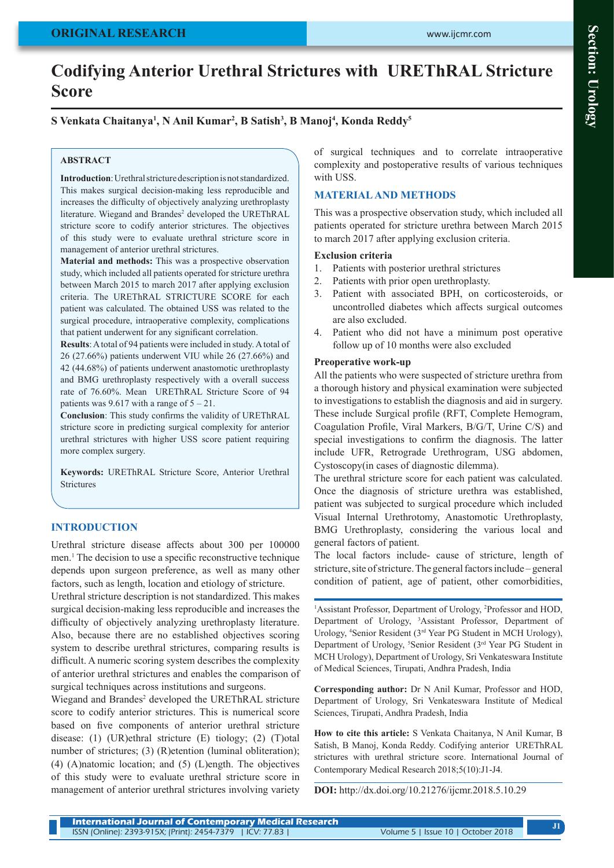# **Codifying Anterior Urethral Strictures with UREThRAL Stricture Score**

# **S Venkata Chaitanya1 , N Anil Kumar2 , B Satish3 , B Manoj4 , Konda Reddy5**

#### **ABSTRACT**

**Introduction**: Urethral stricture description is not standardized. This makes surgical decision-making less reproducible and increases the difficulty of objectively analyzing urethroplasty literature. Wiegand and Brandes<sup>2</sup> developed the UREThRAL stricture score to codify anterior strictures. The objectives of this study were to evaluate urethral stricture score in management of anterior urethral strictures.

**Material and methods:** This was a prospective observation study, which included all patients operated for stricture urethra between March 2015 to march 2017 after applying exclusion criteria. The UREThRAL STRICTURE SCORE for each patient was calculated. The obtained USS was related to the surgical procedure, intraoperative complexity, complications that patient underwent for any significant correlation.

**Results**: A total of 94 patients were included in study. A total of 26 (27.66%) patients underwent VIU while 26 (27.66%) and 42 (44.68%) of patients underwent anastomotic urethroplasty and BMG urethroplasty respectively with a overall success rate of 76.60%. Mean UREThRAL Stricture Score of 94 patients was  $9.617$  with a range of  $5 - 21$ .

**Conclusion**: This study confirms the validity of UREThRAL stricture score in predicting surgical complexity for anterior urethral strictures with higher USS score patient requiring more complex surgery.

**Keywords:** UREThRAL Stricture Score, Anterior Urethral **Strictures** 

### **INTRODUCTION**

Urethral stricture disease affects about 300 per 100000 men.<sup>1</sup> The decision to use a specific reconstructive technique depends upon surgeon preference, as well as many other factors, such as length, location and etiology of stricture.

Urethral stricture description is not standardized. This makes surgical decision-making less reproducible and increases the difficulty of objectively analyzing urethroplasty literature. Also, because there are no established objectives scoring system to describe urethral strictures, comparing results is difficult. A numeric scoring system describes the complexity of anterior urethral strictures and enables the comparison of surgical techniques across institutions and surgeons.

Wiegand and Brandes<sup>2</sup> developed the UREThRAL stricture score to codify anterior strictures. This is numerical score based on five components of anterior urethral stricture disease: (1) (UR)ethral stricture (E) tiology; (2) (T)otal number of strictures; (3) (R)etention (luminal obliteration); (4) (A)natomic location; and (5) (L)ength. The objectives of this study were to evaluate urethral stricture score in management of anterior urethral strictures involving variety

of surgical techniques and to correlate intraoperative complexity and postoperative results of various techniques with USS.

#### **MATERIAL AND METHODS**

This was a prospective observation study, which included all patients operated for stricture urethra between March 2015 to march 2017 after applying exclusion criteria.

#### **Exclusion criteria**

- 1. Patients with posterior urethral strictures
- 2. Patients with prior open urethroplasty.
- 3. Patient with associated BPH, on corticosteroids, or uncontrolled diabetes which affects surgical outcomes are also excluded.
- 4. Patient who did not have a minimum post operative follow up of 10 months were also excluded

#### **Preoperative work-up**

All the patients who were suspected of stricture urethra from a thorough history and physical examination were subjected to investigations to establish the diagnosis and aid in surgery. These include Surgical profile (RFT, Complete Hemogram, Coagulation Profile, Viral Markers, B/G/T, Urine C/S) and special investigations to confirm the diagnosis. The latter include UFR, Retrograde Urethrogram, USG abdomen, Cystoscopy(in cases of diagnostic dilemma).

The urethral stricture score for each patient was calculated. Once the diagnosis of stricture urethra was established, patient was subjected to surgical procedure which included Visual Internal Urethrotomy, Anastomotic Urethroplasty, BMG Urethroplasty, considering the various local and general factors of patient.

The local factors include- cause of stricture, length of stricture, site of stricture. The general factors include – general condition of patient, age of patient, other comorbidities,

<sup>1</sup>Assistant Professor, Department of Urology, <sup>2</sup>Professor and HOD, Department of Urology, <sup>3</sup> Assistant Professor, Department of Urology, <sup>4</sup>Senior Resident (3<sup>rd</sup> Year PG Student in MCH Urology), Department of Urology, <sup>5</sup>Senior Resident (3<sup>rd</sup> Year PG Student in MCH Urology), Department of Urology, Sri Venkateswara Institute of Medical Sciences, Tirupati, Andhra Pradesh, India

**Corresponding author:** Dr N Anil Kumar, Professor and HOD, Department of Urology, Sri Venkateswara Institute of Medical Sciences, Tirupati, Andhra Pradesh, India

**How to cite this article:** S Venkata Chaitanya, N Anil Kumar, B Satish, B Manoj, Konda Reddy. Codifying anterior UREThRAL strictures with urethral stricture score. International Journal of Contemporary Medical Research 2018;5(10):J1-J4.

**DOI:** http://dx.doi.org/10.21276/ijcmr.2018.5.10.29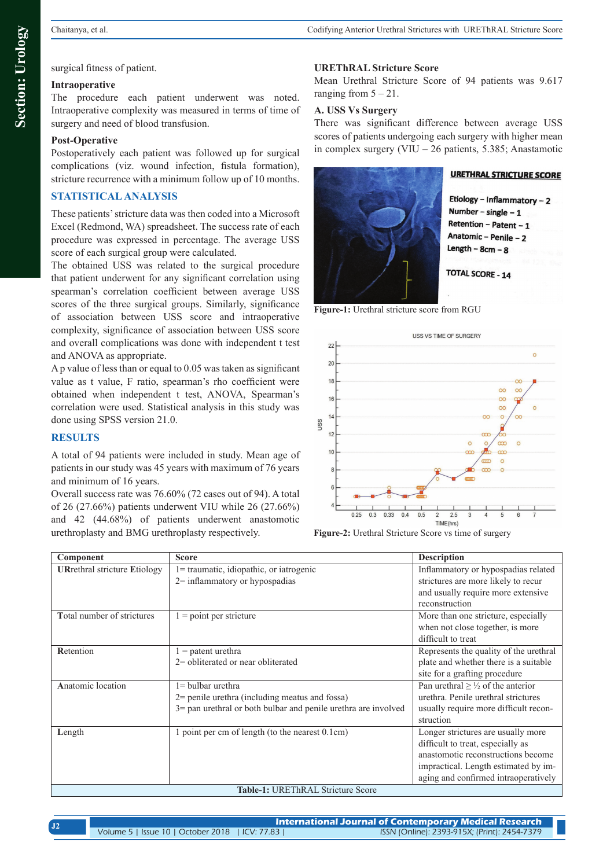## surgical fitness of patient.

# **Intraoperative**

The procedure each patient underwent was noted. Intraoperative complexity was measured in terms of time of surgery and need of blood transfusion.

# **Post-Operative**

Postoperatively each patient was followed up for surgical complications (viz. wound infection, fistula formation), stricture recurrence with a minimum follow up of 10 months.

# **STATISTICAL ANALYSIS**

These patients' stricture data was then coded into a Microsoft Excel (Redmond, WA) spreadsheet. The success rate of each procedure was expressed in percentage. The average USS score of each surgical group were calculated.

The obtained USS was related to the surgical procedure that patient underwent for any significant correlation using spearman's correlation coefficient between average USS scores of the three surgical groups. Similarly, significance of association between USS score and intraoperative complexity, significance of association between USS score and overall complications was done with independent t test and ANOVA as appropriate.

A p value of less than or equal to 0.05 was taken as significant value as t value, F ratio, spearman's rho coefficient were obtained when independent t test, ANOVA, Spearman's correlation were used. Statistical analysis in this study was done using SPSS version 21.0.

## **RESULTS**

A total of 94 patients were included in study. Mean age of patients in our study was 45 years with maximum of 76 years and minimum of 16 years.

Overall success rate was 76.60% (72 cases out of 94). A total of 26 (27.66%) patients underwent VIU while 26 (27.66%) and 42 (44.68%) of patients underwent anastomotic urethroplasty and BMG urethroplasty respectively.

## **UREThRAL Stricture Score**

Mean Urethral Stricture Score of 94 patients was 9.617 ranging from  $5 - 21$ .

## **A. USS Vs Surgery**

There was significant difference between average USS scores of patients undergoing each surgery with higher mean in complex surgery (VIU – 26 patients, 5.385; Anastamotic



**URETHRAL STRICTURE SCORE** 

Etiology - Inflammatory - 2 Number - single  $-1$ Retention - Patent - 1 Anatomic - Penile - 2 Length  $-$  8cm  $-$  8

**TOTAL SCORE - 14** 

**Figure-1:** Urethral stricture score from RGU



**Figure-2:** Urethral Stricture Score vs time of surgery

| Component                                                         | <b>Score</b>                                                                                                                                | <b>Description</b>                                                                                                                                                                            |  |  |  |
|-------------------------------------------------------------------|---------------------------------------------------------------------------------------------------------------------------------------------|-----------------------------------------------------------------------------------------------------------------------------------------------------------------------------------------------|--|--|--|
| <b>URrethral stricture Etiology</b>                               | 1= traumatic, idiopathic, or iatrogenic<br>$2$ = inflammatory or hypospadias                                                                | Inflammatory or hypospadias related<br>strictures are more likely to recur<br>and usually require more extensive<br>reconstruction                                                            |  |  |  |
| Total number of strictures                                        | $=$ point per stricture                                                                                                                     | More than one stricture, especially<br>when not close together, is more<br>difficult to treat                                                                                                 |  |  |  |
| Retention                                                         | $=$ patent urethra<br>2= obliterated or near obliterated                                                                                    | Represents the quality of the urethral<br>plate and whether there is a suitable<br>site for a grafting procedure                                                                              |  |  |  |
| Anatomic location                                                 | $1 =$ bulbar urethra<br>$2$ = penile urethra (including meatus and fossa)<br>3= pan urethral or both bulbar and penile urethra are involved | Pan urethral $\geq \frac{1}{2}$ of the anterior<br>urethra. Penile urethral strictures<br>usually require more difficult recon-<br>struction                                                  |  |  |  |
| Length                                                            | point per cm of length (to the nearest 0.1cm)                                                                                               | Longer strictures are usually more<br>difficult to treat, especially as<br>anastomotic reconstructions become<br>impractical. Length estimated by im-<br>aging and confirmed intraoperatively |  |  |  |
| $\pi$ . L. L. $\pi$ . TID PTL D. A.T. $\alpha$ . L. L. $\alpha$ . |                                                                                                                                             |                                                                                                                                                                                               |  |  |  |

**Table-1:** UREThRAL Stricture Score

|                                                 | <b>International Journal of Contemporary Medical Research</b> |  |
|-------------------------------------------------|---------------------------------------------------------------|--|
| Volume 5   Issue 10   October 2018   ICV: 77.83 | ISSN (Online): 2393-915X; (Print): 2454-7379                  |  |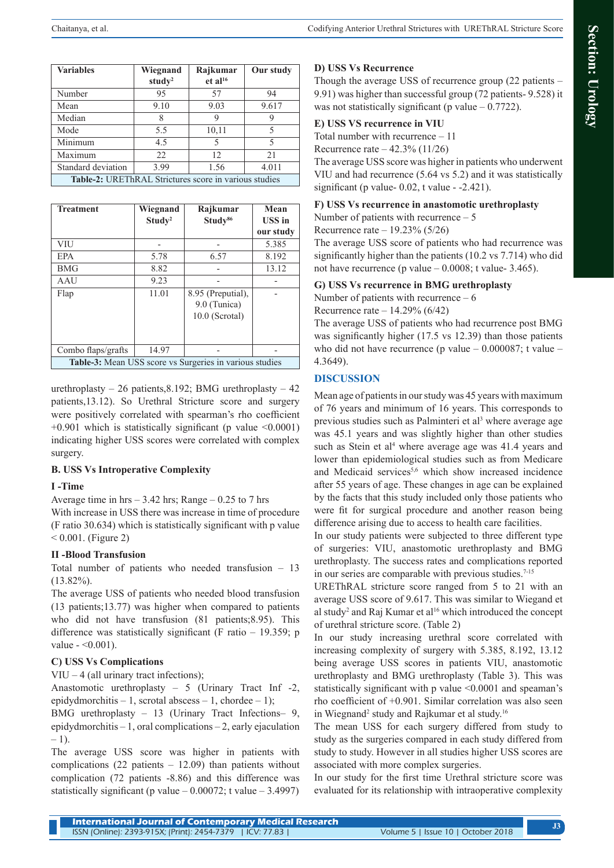| <b>Variables</b>                                      | Wiegnand           | Rajkumar            | Our study |  |
|-------------------------------------------------------|--------------------|---------------------|-----------|--|
|                                                       | study <sup>2</sup> | et al <sup>16</sup> |           |  |
| Number                                                | 95                 | 57                  | 94        |  |
| Mean                                                  | 9.10               | 9.03                | 9.617     |  |
| Median                                                | 8                  | 9                   | 9         |  |
| Mode                                                  | 5.5                | 10,11               | 5         |  |
| Minimum                                               | 4.5                | 5                   | 5         |  |
| Maximum                                               | 22                 | 12                  | 2.1       |  |
| Standard deviation                                    | 3.99               | 1.56                | 4.011     |  |
| Table-2: UREThRAL Strictures score in various studies |                    |                     |           |  |

| <b>Treatment</b>                                        | Wiegnand<br>Study <sup>2</sup> | Rajkumar<br>Study <sup>86</sup> | Mean<br><b>USS</b> in |  |
|---------------------------------------------------------|--------------------------------|---------------------------------|-----------------------|--|
|                                                         |                                |                                 | our study             |  |
| VIU                                                     |                                |                                 | 5.385                 |  |
| <b>EPA</b>                                              | 5.78                           | 6.57                            | 8.192                 |  |
| <b>BMG</b>                                              | 8.82                           |                                 | 13.12                 |  |
| AAU                                                     | 9.23                           |                                 |                       |  |
| Flap                                                    | 11.01                          | 8.95 (Preputial),               |                       |  |
|                                                         |                                | 9.0 (Tunica)                    |                       |  |
|                                                         |                                | $10.0$ (Scrotal)                |                       |  |
|                                                         |                                |                                 |                       |  |
| Combo flaps/grafts                                      | 14.97                          |                                 |                       |  |
| Table-3: Mean USS score vs Surgeries in various studies |                                |                                 |                       |  |

urethroplasty – 26 patients, 8.192; BMG urethroplasty – 42 patients,13.12). So Urethral Stricture score and surgery were positively correlated with spearman's rho coefficient  $+0.901$  which is statistically significant (p value  $\leq 0.0001$ ) indicating higher USS scores were correlated with complex surgery.

### **B. USS Vs Introperative Complexity**

### **I -Time**

Average time in hrs  $-3.42$  hrs; Range  $-0.25$  to 7 hrs

With increase in USS there was increase in time of procedure (F ratio 30.634) which is statistically significant with p value  $< 0.001$ . (Figure 2)

### **II -Blood Transfusion**

Total number of patients who needed transfusion – 13  $(13.82\%)$ .

The average USS of patients who needed blood transfusion (13 patients;13.77) was higher when compared to patients who did not have transfusion (81 patients;8.95). This difference was statistically significant (F ratio – 19.359; p value  $-$  <0.001).

### **C) USS Vs Complications**

 $VIU - 4$  (all urinary tract infections);

Anastomotic urethroplasty – 5 (Urinary Tract Inf -2, epidydmorchitis – 1, scrotal abscess – 1, chordee – 1);

BMG urethroplasty – 13 (Urinary Tract Infections– 9, epidydmorchitis – 1, oral complications – 2, early ejaculation  $-1$ ).

The average USS score was higher in patients with complications  $(22$  patients – 12.09) than patients without complication (72 patients -8.86) and this difference was statistically significant (p value  $-0.00072$ ; t value  $-3.4997$ )

## **D) USS Vs Recurrence**

Though the average USS of recurrence group (22 patients – 9.91) was higher than successful group (72 patients- 9.528) it was not statistically significant (p value  $-0.7722$ ).

#### **E) USS VS recurrence in VIU**

Total number with recurrence – 11

Recurrence rate – 42.3% (11/26)

The average USS score was higher in patients who underwent VIU and had recurrence (5.64 vs 5.2) and it was statistically significant (p value-  $0.02$ , t value -  $-2.421$ ).

#### **F) USS Vs recurrence in anastomotic urethroplasty**

Number of patients with recurrence – 5

Recurrence rate – 19.23% (5/26)

The average USS score of patients who had recurrence was significantly higher than the patients (10.2 vs 7.714) who did not have recurrence (p value  $-0.0008$ ; t value- 3.465).

#### **G) USS Vs recurrence in BMG urethroplasty**

Number of patients with recurrence – 6

Recurrence rate – 14.29% (6/42)

The average USS of patients who had recurrence post BMG was significantly higher (17.5 vs 12.39) than those patients who did not have recurrence (p value  $-0.000087$ ; t value  $-$ 4.3649).

## **DISCUSSION**

Mean age of patients in our study was 45 years with maximum of 76 years and minimum of 16 years. This corresponds to previous studies such as Palminteri et al<sup>3</sup> where average age was 45.1 years and was slightly higher than other studies such as Stein et al<sup>4</sup> where average age was 41.4 years and lower than epidemiological studies such as from Medicare and Medicaid services<sup>5,6</sup> which show increased incidence after 55 years of age. These changes in age can be explained by the facts that this study included only those patients who were fit for surgical procedure and another reason being difference arising due to access to health care facilities.

In our study patients were subjected to three different type of surgeries: VIU, anastomotic urethroplasty and BMG urethroplasty. The success rates and complications reported in our series are comparable with previous studies.<sup>7-15</sup>

UREThRAL stricture score ranged from 5 to 21 with an average USS score of 9.617. This was similar to Wiegand et al study<sup>2</sup> and Raj Kumar et al<sup>16</sup> which introduced the concept of urethral stricture score. (Table 2)

In our study increasing urethral score correlated with increasing complexity of surgery with 5.385, 8.192, 13.12 being average USS scores in patients VIU, anastomotic urethroplasty and BMG urethroplasty (Table 3). This was statistically significant with p value <0.0001 and speaman's rho coefficient of +0.901. Similar correlation was also seen in Wiegnand<sup>2</sup> study and Rajkumar et al study.<sup>16</sup>

The mean USS for each surgery differed from study to study as the surgeries compared in each study differed from study to study. However in all studies higher USS scores are associated with more complex surgeries.

In our study for the first time Urethral stricture score was evaluated for its relationship with intraoperative complexity